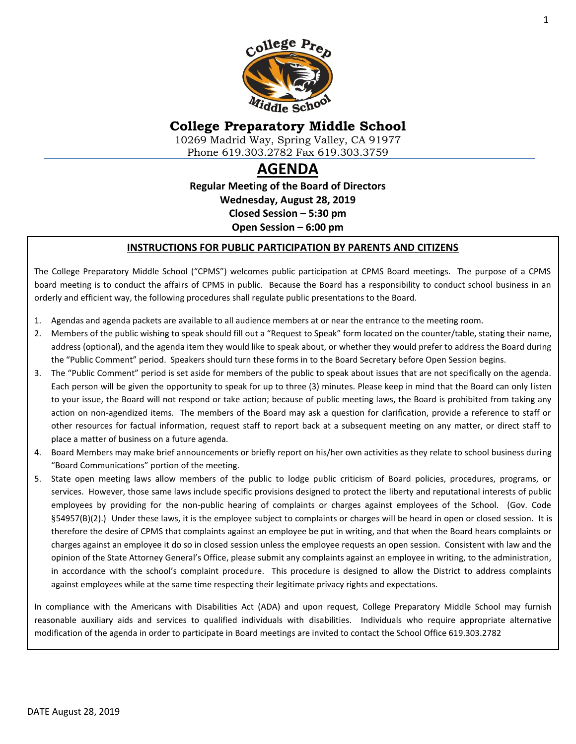

# **College Preparatory Middle School**

10269 Madrid Way, Spring Valley, CA 91977 Phone 619.303.2782 Fax 619.303.3759

# **AGENDA**

**Regular Meeting of the Board of Directors Wednesday, August 28, 2019 Closed Session – 5:30 pm Open Session – 6:00 pm**

#### **INSTRUCTIONS FOR PUBLIC PARTICIPATION BY PARENTS AND CITIZENS**

The College Preparatory Middle School ("CPMS") welcomes public participation at CPMS Board meetings. The purpose of a CPMS board meeting is to conduct the affairs of CPMS in public. Because the Board has a responsibility to conduct school business in an orderly and efficient way, the following procedures shall regulate public presentations to the Board.

- 1. Agendas and agenda packets are available to all audience members at or near the entrance to the meeting room.
- 2. Members of the public wishing to speak should fill out a "Request to Speak" form located on the counter/table, stating their name, address (optional), and the agenda item they would like to speak about, or whether they would prefer to address the Board during the "Public Comment" period. Speakers should turn these forms in to the Board Secretary before Open Session begins.
- 3. The "Public Comment" period is set aside for members of the public to speak about issues that are not specifically on the agenda. Each person will be given the opportunity to speak for up to three (3) minutes. Please keep in mind that the Board can only listen to your issue, the Board will not respond or take action; because of public meeting laws, the Board is prohibited from taking any action on non-agendized items. The members of the Board may ask a question for clarification, provide a reference to staff or other resources for factual information, request staff to report back at a subsequent meeting on any matter, or direct staff to place a matter of business on a future agenda.
- 4. Board Members may make brief announcements or briefly report on his/her own activities as they relate to school business during "Board Communications" portion of the meeting.
- 5. State open meeting laws allow members of the public to lodge public criticism of Board policies, procedures, programs, or services. However, those same laws include specific provisions designed to protect the liberty and reputational interests of public employees by providing for the non-public hearing of complaints or charges against employees of the School. (Gov. Code §54957(B)(2).) Under these laws, it is the employee subject to complaints or charges will be heard in open or closed session. It is therefore the desire of CPMS that complaints against an employee be put in writing, and that when the Board hears complaints or charges against an employee it do so in closed session unless the employee requests an open session. Consistent with law and the opinion of the State Attorney General's Office, please submit any complaints against an employee in writing, to the administration, in accordance with the school's complaint procedure. This procedure is designed to allow the District to address complaints against employees while at the same time respecting their legitimate privacy rights and expectations.

In compliance with the Americans with Disabilities Act (ADA) and upon request, College Preparatory Middle School may furnish reasonable auxiliary aids and services to qualified individuals with disabilities. Individuals who require appropriate alternative modification of the agenda in order to participate in Board meetings are invited to contact the School Office 619.303.2782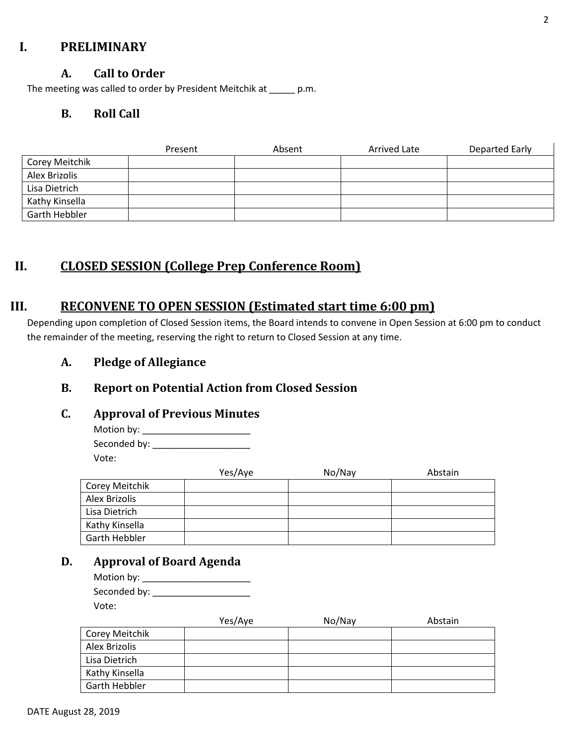## **I. PRELIMINARY**

## **A. Call to Order**

The meeting was called to order by President Meitchik at \_\_\_\_\_ p.m.

## **B. Roll Call**

|                | Present | Absent | Arrived Late | <b>Departed Early</b> |
|----------------|---------|--------|--------------|-----------------------|
| Corey Meitchik |         |        |              |                       |
| Alex Brizolis  |         |        |              |                       |
| Lisa Dietrich  |         |        |              |                       |
| Kathy Kinsella |         |        |              |                       |
| Garth Hebbler  |         |        |              |                       |

## **II. CLOSED SESSION (College Prep Conference Room)**

## **III. RECONVENE TO OPEN SESSION (Estimated start time 6:00 pm)**

Depending upon completion of Closed Session items, the Board intends to convene in Open Session at 6:00 pm to conduct the remainder of the meeting, reserving the right to return to Closed Session at any time.

## **A. Pledge of Allegiance**

## **B. Report on Potential Action from Closed Session**

#### **C. Approval of Previous Minutes**

Motion by: Seconded by: \_\_\_\_\_\_\_\_\_\_\_\_\_\_\_\_\_\_\_ Vote:

Yes/Aye No/Nay Abstain Corey Meitchik Alex Brizolis Lisa Dietrich Kathy Kinsella Garth Hebbler

## **D. Approval of Board Agenda**

| Motion by: $\_$ |  |
|-----------------|--|
| Seconded by:    |  |
| Vote:           |  |

|                | Yes/Aye | No/Nay | Abstain |
|----------------|---------|--------|---------|
| Corey Meitchik |         |        |         |
| Alex Brizolis  |         |        |         |
| Lisa Dietrich  |         |        |         |
| Kathy Kinsella |         |        |         |
| Garth Hebbler  |         |        |         |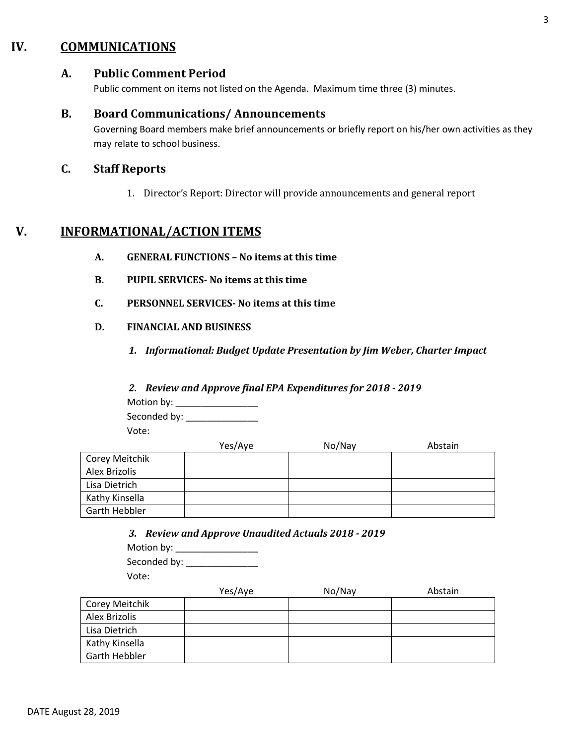## **IV. COMMUNICATIONS**

## **A. Public Comment Period**

Public comment on items not listed on the Agenda. Maximum time three (3) minutes.

#### **B. Board Communications/ Announcements**

Governing Board members make brief announcements or briefly report on his/her own activities as they may relate to school business.

## **C. Staff Reports**

1. Director's Report: Director will provide announcements and general report

## **V. INFORMATIONAL/ACTION ITEMS**

- **A. GENERAL FUNCTIONS – No items at this time**
- **B. PUPIL SERVICES- No items at this time**
- **C. PERSONNEL SERVICES- No items at this time**
- **D. FINANCIAL AND BUSINESS**
	- *1. Informational: Budget Update Presentation by Jim Weber, Charter Impact*

#### *2. Review and Approve final EPA Expenditures for 2018 - 2019*

Motion by: \_\_\_\_\_\_\_\_\_\_\_\_\_\_\_\_ Seconded by: \_\_\_\_\_\_\_\_\_\_\_\_\_\_

Vote:

|                | Yes/Aye | No/Nay | Abstain |
|----------------|---------|--------|---------|
| Corey Meitchik |         |        |         |
| Alex Brizolis  |         |        |         |
| Lisa Dietrich  |         |        |         |
| Kathy Kinsella |         |        |         |
| Garth Hebbler  |         |        |         |

*3. Review and Approve Unaudited Actuals 2018 - 2019*

| Motion by:   |  |
|--------------|--|
| Seconded by: |  |
| Vote:        |  |

|                | Yes/Aye | No/Nay | Abstain |
|----------------|---------|--------|---------|
| Corey Meitchik |         |        |         |
| Alex Brizolis  |         |        |         |
| Lisa Dietrich  |         |        |         |
| Kathy Kinsella |         |        |         |
| Garth Hebbler  |         |        |         |